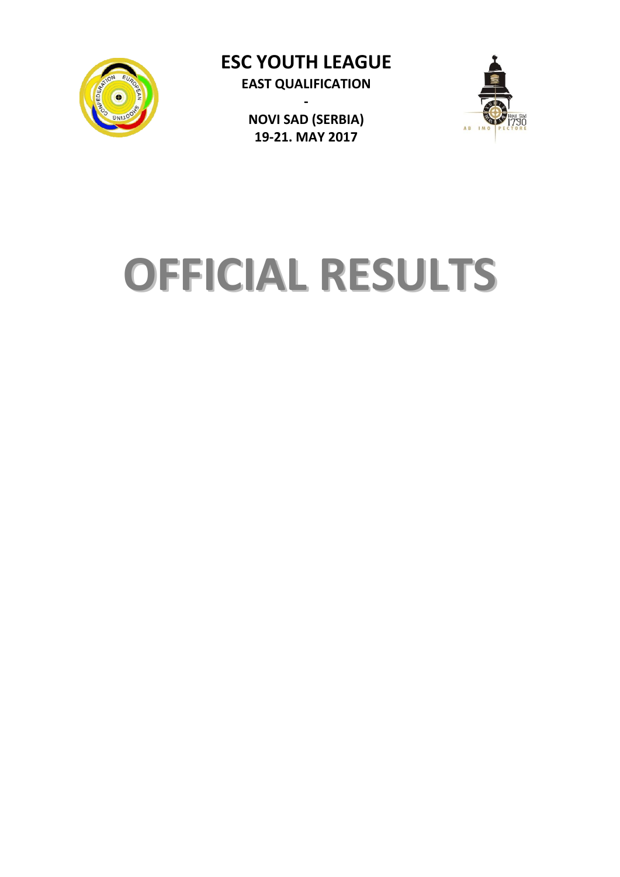

**ESC YOUTH LEAGUE EAST QUALIFICATION**

> **- NOVI SAD (SERBIA) 19-21. MAY 2017**



# **OFFICIAL RESULTS**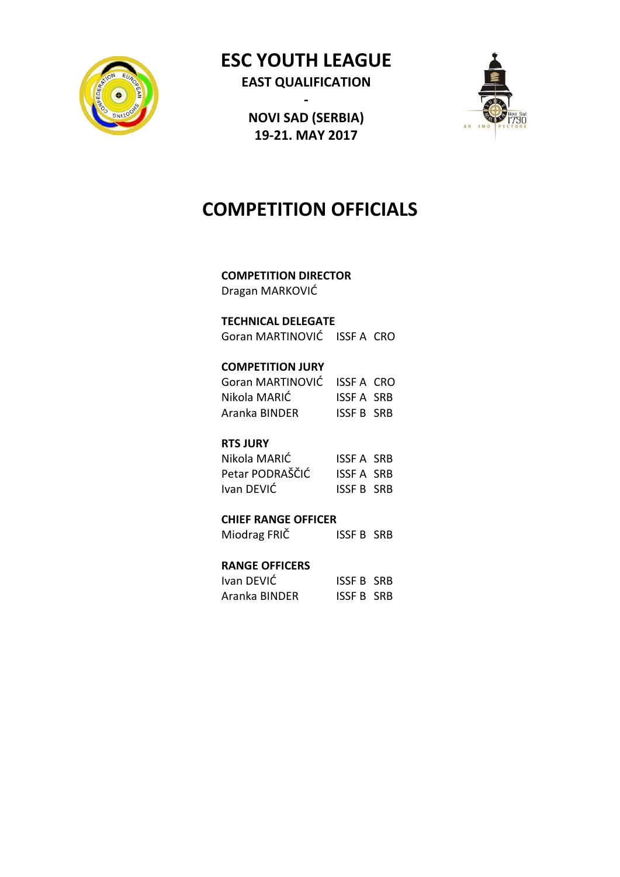

# **ESC YOUTH LEAGUE EAST QUALIFICATION**

**NOVI SAD (SERBIA) 19-21. MAY 2017**

**-**



# **COMPETITION OFFICIALS**

## **COMPETITION DIRECTOR**

Dragan MARKOVIĆ

#### **TECHNICAL DELEGATE**

Goran MARTINOVIĆ ISSF A CRO

#### **COMPETITION JURY**

| Goran MARTINOVIĆ ISSF A CRO |            |  |
|-----------------------------|------------|--|
| Nikola MARIĆ                | ISSE A SRB |  |
| Aranka BINDER               | ISSE B SRB |  |

#### **RTS JURY**

| Nikola MARIĆ    | ISSE A SRB        |  |
|-----------------|-------------------|--|
| Petar PODRAŠČIĆ | ISSE A SRB        |  |
| Ivan DEVIĆ      | <b>ISSE B SRB</b> |  |

#### **CHIEF RANGE OFFICER**

| Miodrag FRIČ<br><b>ISSF B SRB</b> |  |  |
|-----------------------------------|--|--|
|-----------------------------------|--|--|

#### **RANGE OFFICERS**

| Ivan DEVIĆ    | <b>ISSF B SRB</b> |  |
|---------------|-------------------|--|
| Aranka BINDER | <b>ISSE B SRB</b> |  |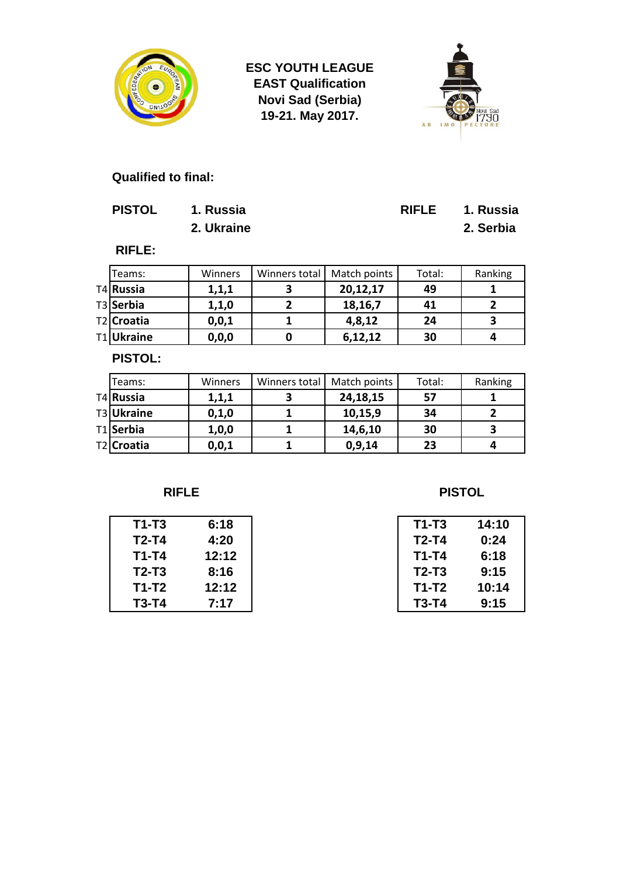



#### **Qualified to final:**

| <b>PISTOL</b> | 1. R     |  |
|---------------|----------|--|
|               | <b>.</b> |  |

| <b>PISTOL</b> | 1. Russia  | RIFLE 1. Russia |
|---------------|------------|-----------------|
|               | 2. Ukraine | 2. Serbia       |

#### **RIFLE:**

| Teams:                 | Winners | Winners total | Match points | Total: | Ranking |
|------------------------|---------|---------------|--------------|--------|---------|
| T <sub>4</sub> Russia  | 1,1,1   |               | 20,12,17     | 49     |         |
| T3 Serbia              | 1,1,0   |               | 18,16,7      | 41     |         |
| T <sub>2</sub> Croatia | 0, 0, 1 |               | 4,8,12       | 24     |         |
| T <sub>1</sub> Ukraine | 0, 0, 0 |               | 6,12,12      | 30     |         |

#### **PISTOL:**

| Teams:                 | Winners | Winners total | Match points | Total: | Ranking |
|------------------------|---------|---------------|--------------|--------|---------|
| T <sub>4</sub> Russia  | 1,1,1   |               | 24,18,15     | 57     |         |
| T3 Ukraine             | 0,1,0   |               | 10,15,9      | 34     |         |
| T <sub>1</sub> Serbia  | 1,0,0   |               | 14,6,10      | 30     |         |
| T <sub>2</sub> Croatia | 0, 0, 1 |               | 0,9,14       | 23     |         |

# **T1-T3 6:18 T1-T3 14:10 T2-T4 4:20 T2-T4 0:24 T1-T4 12:12 T1-T4 6:18 T2-T3 8:16 T2-T3 9:15 T1-T2 12:12 T1-T2 10:14**

#### **RIFLE PISTOL**

| T1-T3 | 6:18  | $T1-T3$ | 14:10 |  |
|-------|-------|---------|-------|--|
| T2-T4 | 4:20  | $T2-T4$ | 0:24  |  |
| T1-T4 | 12:12 | $T1-T4$ | 6:18  |  |
| T2-T3 | 8:16  | $T2-T3$ | 9:15  |  |
| T1-T2 | 12:12 | T1-T2   | 10:14 |  |
| T3-T4 | 7:17  | T3-T4   | 9:15  |  |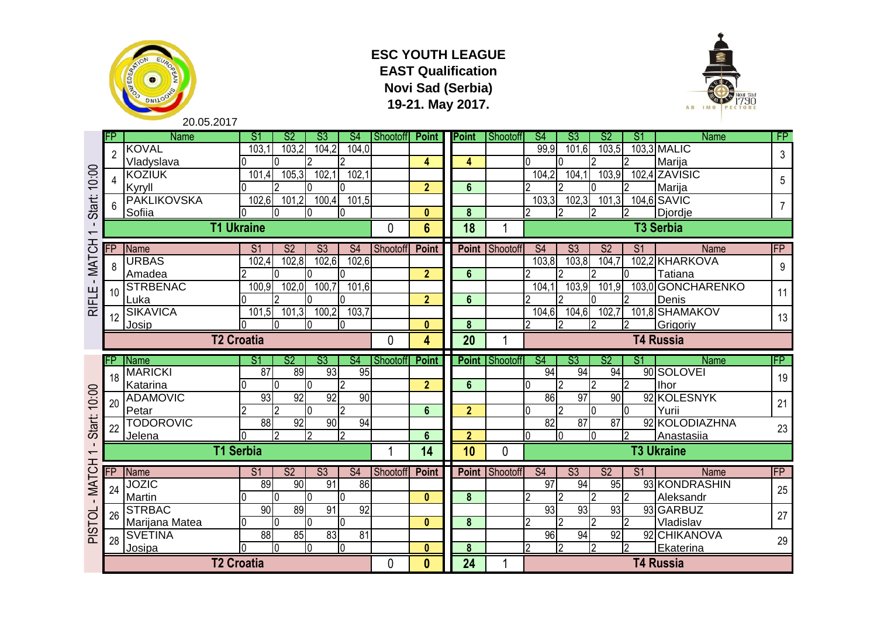



20.05.2017

|                                          | FP                    | <b>Name</b>                 | $\overline{S1}$<br>S <sub>2</sub> | $\overline{\mathsf{S3}}$ | S <sub>4</sub> | Shootoff Point |                              | <b>Point</b>            | Shootoff              | S <sub>4</sub>           | S3              | S <sub>2</sub>     | S <sub>1</sub>  | <b>Name</b>                   | FP               |
|------------------------------------------|-----------------------|-----------------------------|-----------------------------------|--------------------------|----------------|----------------|------------------------------|-------------------------|-----------------------|--------------------------|-----------------|--------------------|-----------------|-------------------------------|------------------|
|                                          | $\overline{2}$        | <b>KOVAL</b>                | 103.2<br>103,1                    | 104.2                    | 104,0          |                |                              |                         |                       | 99.9                     | 101,6           | $\overline{103,5}$ |                 | $103,3$ MALIC                 | $\mathbf{3}$     |
|                                          |                       | Vladyslava                  | I۵                                | 2                        | 2              |                | 4                            | 4                       |                       | l0.                      |                 |                    | $\mathcal{P}$   | Marija                        |                  |
|                                          |                       | <b>KOZIUK</b>               | 105,3<br>$\overline{101,4}$       | 102,1                    | 102,1          |                |                              |                         |                       | 104.2                    | 104,1           | 103,9              |                 | 102,4 ZAVISIC                 | $5\overline{)}$  |
|                                          |                       | Kyryll                      | 2                                 |                          |                |                | $\overline{2}$               | $6\phantom{a}$          |                       |                          |                 |                    |                 | Marija                        |                  |
| Start: 10:00                             |                       | <b>PAKLIKOVSKA</b>          | 102,6<br>101,2                    | 100,4                    | 101,5          |                |                              |                         |                       | 103,3                    | 102,3           | 101,3              |                 | 104,6 SAVIC                   | $\overline{7}$   |
|                                          |                       | Sofiia                      | 10                                | 0                        | 10             |                | $\bf{0}$                     | 8                       |                       |                          | $\overline{2}$  | 2                  |                 | Djordje                       |                  |
| $\mathbf{I}$<br>$\overline{\phantom{0}}$ |                       | <b>T1 Ukraine</b>           |                                   |                          |                | $\mathbf{0}$   | $6\phantom{1}$               | 18                      |                       |                          |                 |                    |                 | <b>T3 Serbia</b>              |                  |
| - MATCH                                  | FP                    | <b>Name</b>                 | S <sub>1</sub><br>S <sub>2</sub>  | S3                       | S <sub>4</sub> | Shootoff       | <b>Point</b>                 | <b>Point</b>            | Shootoff              | S <sub>4</sub>           | S3              | S <sub>2</sub>     | $\overline{S1}$ | <b>Name</b>                   | IFP              |
|                                          | $\mathsf{\mathsf{R}}$ | <b>URBAS</b>                | 102,8<br>102,4                    | 102,6                    | 102,6          |                |                              |                         |                       | 103,8                    | 103,8           | 104,7              |                 | 102,2 KHARKOVA                | 9                |
|                                          |                       | Amadea                      | I٥                                | I۵                       | I٥             |                | $\overline{2}$               | $6\phantom{a}$          |                       | $\overline{\phantom{a}}$ | $\mathfrak{p}$  | $\overline{2}$     | I٥              | Tatiana                       |                  |
|                                          | 10                    | <b>STRBENAC</b>             | 102,0<br>100,9                    | 100,7                    | 101,6          |                |                              |                         |                       | 104.1                    | 103,9           | 101,9              |                 | 103,0 GONCHARENKO             | 11               |
| <b>RIFLE</b>                             |                       | Luka                        | 12                                | I۵                       | I۵             |                | $\overline{2}$               | $6\phantom{a}$          |                       |                          | 2               |                    | 2               | Denis                         |                  |
|                                          | 12                    | <b>SIKAVICA</b>             | 101,3<br>101,5                    | 100,2                    | 103,7          |                |                              |                         |                       | 104,6                    | 104,6           | 102,7              |                 | 101,8 SHAMAKOV                | 13               |
|                                          |                       | Josip                       | $\overline{0}$                    | l0                       | I٥             |                | $\overline{\mathbf{0}}$      | $\overline{\mathbf{8}}$ |                       | $\overline{2}$           | 12              | C                  | 12.             | Grigoriy                      |                  |
|                                          |                       | <b>T2 Croatia</b>           |                                   |                          |                | 0              | 4                            | 20                      |                       |                          |                 |                    |                 | <b>T4 Russia</b>              |                  |
|                                          |                       |                             |                                   |                          |                |                |                              |                         |                       |                          |                 |                    |                 |                               |                  |
|                                          | FP                    | <b>Name</b>                 | S <sub>2</sub><br>S1              | S3                       | S <sub>4</sub> | Shootoff       | <b>Point</b>                 | <b>Point</b>            | <b>I</b> Shootoff     | S <sub>4</sub>           | S3              | S2                 | S1              | Name                          | $\mathsf{IFP}^-$ |
|                                          |                       | <b>MARICKI</b>              | $\overline{87}$                   | 89<br>93                 | 95             |                |                              |                         |                       | 94                       | 94              | 94                 |                 | 90 SOLOVEI                    |                  |
|                                          | 18                    | Katarina                    | 10                                | I٥                       | l2             |                | $\overline{2}$               | $\overline{6}$          |                       | O.                       | l2              | $\overline{2}$     | $\overline{2}$  | <b>Ihor</b>                   | 19               |
|                                          |                       | <b>ADAMOVIC</b>             | 93                                | 92<br>92                 | 90             |                |                              |                         |                       | 86                       | $\overline{97}$ | 90                 |                 | 92 KOLESNYK                   |                  |
|                                          | 20                    | Petar                       | $\overline{2}$                    | I۵                       | 12             |                | $6\phantom{1}$               | $\overline{2}$          |                       | l0                       | 12              | I۵                 | I0              | Yurii                         | 21               |
|                                          |                       | <b>TODOROVIC</b>            | 88                                | 92<br>90                 | 94             |                |                              |                         |                       | 82                       | 87              | 87                 |                 | 92 KOLODIAZHNA                |                  |
| Start: 10:00                             |                       | Jelena                      | $\overline{2}$                    | $\mathcal{P}$            | 2              |                | $6\phantom{a}$               | $\overline{2}$          |                       | I0                       | 10              | I0                 | l2              | Anastasiia                    | 23               |
| $\mathbf{I}$<br>$\overline{\phantom{0}}$ |                       | <b>T1 Serbia</b>            |                                   |                          |                |                | 14                           | 10                      | $\mathbf{0}$          |                          |                 |                    |                 | <b>T3 Ukraine</b>             |                  |
|                                          | FP                    | Name                        | S <sub>2</sub><br>S <sub>1</sub>  | S3                       | S <sub>4</sub> | Shootoff       | <b>Point</b>                 |                         | <b>Point Shootoff</b> | S <sub>4</sub>           | S3              | S <sub>2</sub>     | S <sub>1</sub>  | <b>Name</b>                   | $\mathsf{FP}$    |
|                                          |                       | <b>JOZIC</b>                | 89                                | 90<br>$\overline{91}$    | 86             |                |                              |                         |                       | $\overline{97}$          | 94              | 95                 |                 | 93 KONDRASHIN                 |                  |
| - MATCH                                  | 24                    | Martin                      | 10                                | I0                       | I٥             |                | $\mathbf{0}$                 | 8                       |                       | $\overline{2}$           | 2               | $\overline{2}$     | 12              | Aleksandr                     | 25               |
|                                          |                       | <b>STRBAC</b>               | 90                                | 89<br>91                 | 92             |                |                              |                         |                       | 93                       | 93              | 93                 |                 | 93 GARBUZ                     |                  |
|                                          | 26                    | Marijana Matea              | 10<br>0                           | I٥                       | I0             |                | $\mathbf{0}$                 | 8                       |                       | $\overline{2}$           | 2               | 2                  | I2              | Vladislav                     | 27               |
| PISTOL                                   |                       | <b>SVETINA</b>              | 88                                | 83<br>85                 | 81             |                |                              |                         |                       | 96                       | 94              | 92                 |                 | 92 CHIKANOVA                  |                  |
|                                          | 28                    | Josipa<br><b>T2 Croatia</b> | l0                                | I0                       | I0             | $\mathbf{0}$   | $\mathbf{0}$<br>$\mathbf{0}$ | 8<br>24                 | 1                     | $\overline{2}$           | $\overline{2}$  | $\mathcal{P}$      | l2              | Ekaterina<br><b>T4 Russia</b> | 29               |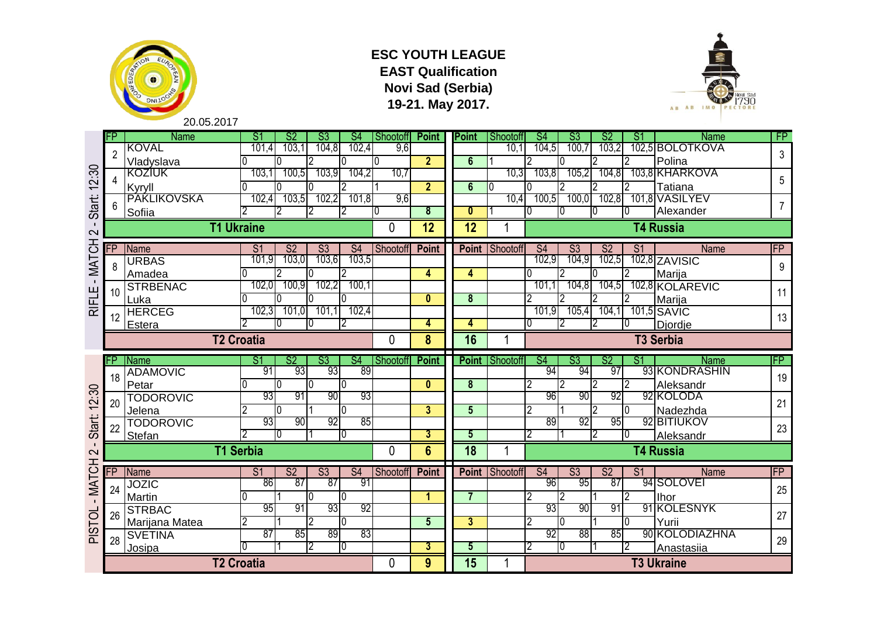



20.05.2017

|                        | <b>FP</b>      | <b>Name</b>                 | $\overline{S1}$<br>$\overline{\mathsf{S2}}$ | $\overline{\mathsf{S3}}$ | S <sub>4</sub> | Shootoff Point |                         | <b>Point</b>    | Shootoff              | S <sub>4</sub> | S3             | S <sub>2</sub> | S <sub>1</sub> | <b>Name</b>                     | FP             |
|------------------------|----------------|-----------------------------|---------------------------------------------|--------------------------|----------------|----------------|-------------------------|-----------------|-----------------------|----------------|----------------|----------------|----------------|---------------------------------|----------------|
|                        | $\overline{2}$ | <b>KOVAL</b>                | 101,4<br>103.1                              | 104,8                    | 102,4          | 9.6            |                         |                 | 10.1                  | 104,5          | 100,7          | 103,2          |                | 102,5 BOLOTKOVA                 | 3 <sup>1</sup> |
|                        |                | Vladyslava                  | ი                                           | 2                        | 10             | 10.            | $\overline{2}$          | $6\phantom{1}$  |                       | 2              | 0              |                | 2              | Polina                          |                |
| 12:30                  | 4              | <b>KOZIUK</b>               | 103,1<br>100,5                              | 103,9                    | 104,2          | 10,7           |                         |                 | 10,3                  | 103,8          | 105,2          | 104,8          |                | 103,8 KHARKOVA                  | 5              |
|                        |                | Kyryll                      |                                             |                          |                |                | $\overline{2}$          | $6\overline{6}$ | $\overline{0}$        |                |                |                |                | Tatiana                         |                |
| <b>Start:</b>          |                | <b>PAKLIKOVSKA</b>          | 102,4<br>103,5                              | 102,2                    | 101,8          | 9,6            |                         |                 | 10,4                  | 100,5          | 100.0          | 102,8          |                | 101,8 VASILYEV                  | 7 <sup>7</sup> |
|                        |                | Sofiia                      |                                             |                          |                | 10             | $\overline{\mathbf{8}}$ | 0               |                       |                | $\Omega$       | Ю              |                | Alexander                       |                |
| $\mathbf{I}$<br>$\sim$ |                | <b>T1 Ukraine</b>           |                                             |                          |                | $\theta$       | 12                      | 12              |                       |                |                |                |                | <b>T4 Russia</b>                |                |
| - MATCH                | FP             | <b>Name</b>                 | S <sub>1</sub><br>S <sub>2</sub>            | S3                       | S <sub>4</sub> | Shootoff       | <b>Point</b>            | <b>Point</b>    | Shootoff              | S <sub>4</sub> | S3             | S <sub>2</sub> | S <sub>1</sub> | <b>Name</b>                     | FP             |
|                        | 8              | <b>URBAS</b>                | 101,9<br>103,0                              | 103,6                    | 103,5          |                |                         |                 |                       | 102,9          | 104,9          | 102,5          |                | 102,8 ZAVISIC                   | 9              |
|                        |                | Amadea                      | 0                                           | 0                        | $\overline{2}$ |                | 4                       | 4               |                       | IО             | 2              | I٥             |                | Marija                          |                |
|                        | 10             | <b>STRBENAC</b>             | 102,0<br>100,9                              | 102,2                    | 100,1          |                |                         |                 |                       | 101.1          | 104,8          | 104,5          |                | 102,8 KOLAREVIC                 | 11             |
| <b>RIFLE</b>           |                | Luka                        | ი                                           | N                        | I۵             |                | $\mathbf{0}$            | 8               |                       | 2              | 2              | 2              | 2              | Marija                          |                |
|                        | 12             | <b>HERCEG</b>               | 102,3<br>101,0                              | 101,1                    | 102,4          |                |                         |                 |                       | 101,9          | 105,4          | 104,1          |                | 101,5 SAVIC                     | 13             |
|                        |                | Estera                      |                                             |                          |                |                | 4                       | 4               |                       | 0              |                |                |                | Djordje                         |                |
|                        |                | <b>T2 Croatia</b>           |                                             |                          |                | 0              | 8                       | 16              |                       |                |                |                |                | <b>T3 Serbia</b>                |                |
|                        |                |                             |                                             |                          |                |                |                         |                 |                       |                |                |                |                |                                 |                |
|                        | FP             | Name                        | S <sub>2</sub><br><sup>S1</sup>             | S3                       | S <sub>4</sub> | Shootoff       | <b>Point</b>            | <b>Point</b>    | Shootoff              | S <sub>4</sub> | S <sub>3</sub> | S <sub>2</sub> | S <sub>1</sub> | Name                            | FP             |
|                        |                | <b>ADAMOVIC</b>             | -91                                         | 93<br>93                 | 89             |                |                         |                 |                       | 94             | 94             | 97             |                | 93 KONDRASHIN                   |                |
|                        | 18             | Petar                       | 0                                           | 0                        | 10             |                | $\mathbf{0}$            | 8               |                       | 2              | $\overline{2}$ | 12             | I2             | Aleksandr                       | 19             |
|                        |                | <b>TODOROVIC</b>            | 93                                          | 90<br>-91                | 93             |                |                         |                 |                       | 96             | 90             | 92             |                | 92 KOLODA                       |                |
|                        | 20             | Jelena                      | I٥                                          |                          | 10             |                | $\overline{3}$          | 5 <sup>5</sup>  |                       | 2              |                | 12             | ю              | Nadezhda                        | 21             |
|                        |                | <b>TODOROVIC</b>            | 93                                          | 92<br>90                 | 85             |                |                         |                 |                       | 89             | 92             | 95             |                | 92 BITIUKOV                     |                |
| Start: 12:30           |                | Stefan                      | IО                                          |                          | 10             |                | $\overline{\mathbf{3}}$ | 5               |                       |                |                | 12             | 10.            | Aleksandr                       | 23             |
| $\sim$                 |                | <b>T1 Serbia</b>            |                                             |                          |                | 0              | $6\phantom{1}$          | 18              |                       |                |                |                |                | <b>T4 Russia</b>                |                |
|                        | FP             | Name                        | S <sub>1</sub><br>S <sub>2</sub>            | S3                       | S <sub>4</sub> | Shootoff       | <b>Point</b>            |                 | <b>Point Shootoff</b> | S <sub>4</sub> | S3             | S <sub>2</sub> | S <sub>1</sub> | <b>Name</b>                     | $\mathsf{FP}$  |
|                        |                | <b>JOZIC</b>                | 86                                          | 87<br>87                 | -91            |                |                         |                 |                       | 96             | 95             | 87             |                | 94 SOLOVEI                      |                |
| -MATCH                 | 24             | Martin                      | 0                                           |                          | 10             |                | $\mathbf{1}$            | $\overline{7}$  |                       | 2              | 2              |                |                | <b>Ihor</b>                     | 25             |
|                        | 26             | <b>STRBAC</b>               | 95                                          | 91<br>93                 | 92             |                |                         |                 |                       | 93             | 90             | 91             |                | 91 KOLESNYK                     |                |
|                        |                | Marijana Matea              |                                             | 2                        | IО             |                | $\overline{5}$          | $\overline{3}$  |                       | 2              | l0             |                | 10             | Yurii                           | 27             |
| PISTOL                 | 28             | <b>SVETINA</b>              | 87                                          | 89<br>85                 | 83             |                |                         |                 |                       | 92             | 88             | 85             |                | 90 KOLODIAZHNA                  | 29             |
|                        |                | Josipa<br><b>T2 Croatia</b> |                                             | 2                        | ТO             | 0              | $\overline{3}$<br>9     | 5<br>15         |                       |                | I0             |                |                | Anastasiia<br><b>T3 Ukraine</b> |                |